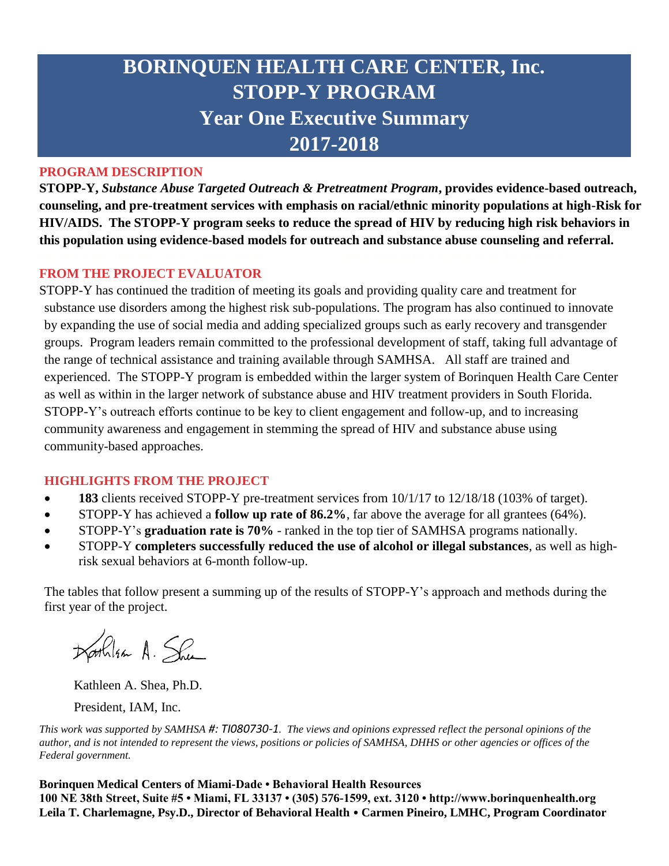# **BORINQUEN HEALTH CARE CENTER, Inc. STOPP-Y PROGRAM Year One Executive Summary 2017-2018**

# **PROGRAM DESCRIPTION**

**STOPP-Y,** *Substance Abuse Targeted Outreach & Pretreatment Program***, provides evidence-based outreach, counseling, and pre-treatment services with emphasis on racial/ethnic minority populations at high-Risk for HIV/AIDS. The STOPP-Y program seeks to reduce the spread of HIV by reducing high risk behaviors in this population using evidence-based models for outreach and substance abuse counseling and referral.** 

# **FROM THE PROJECT EVALUATOR**

STOPP-Y has continued the tradition of meeting its goals and providing quality care and treatment for substance use disorders among the highest risk sub-populations. The program has also continued to innovate by expanding the use of social media and adding specialized groups such as early recovery and transgender groups. Program leaders remain committed to the professional development of staff, taking full advantage of the range of technical assistance and training available through SAMHSA. All staff are trained and experienced. The STOPP-Y program is embedded within the larger system of Borinquen Health Care Center as well as within in the larger network of substance abuse and HIV treatment providers in South Florida. STOPP-Y's outreach efforts continue to be key to client engagement and follow-up, and to increasing community awareness and engagement in stemming the spread of HIV and substance abuse using community-based approaches.

# **HIGHLIGHTS FROM THE PROJECT**

- **183** clients received STOPP-Y pre-treatment services from 10/1/17 to 12/18/18 (103% of target).
- STOPP-Y has achieved a **follow up rate of 86.2%**, far above the average for all grantees (64%).
- STOPP-Y's **graduation rate is 70%** ranked in the top tier of SAMHSA programs nationally.
- STOPP-Y **completers successfully reduced the use of alcohol or illegal substances**, as well as highrisk sexual behaviors at 6-month follow-up.

The tables that follow present a summing up of the results of STOPP-Y's approach and methods during the first year of the project.

Darhlan A. She

Kathleen A. Shea, Ph.D. President, IAM, Inc.

*This work was supported by SAMHSA #: TI080730-1. The views and opinions expressed reflect the personal opinions of the author, and is not intended to represent the views, positions or policies of SAMHSA, DHHS or other agencies or offices of the Federal government.*

**Borinquen Medical Centers of Miami-Dade • Behavioral Health Resources 100 NE 38th Street, Suite #5 • Miami, FL 33137 • (305) 576-1599, ext. 3120 • http://www.borinquenhealth.org Leila T. Charlemagne, Psy.D., Director of Behavioral Health** • **Carmen Pineiro, LMHC, Program Coordinator**